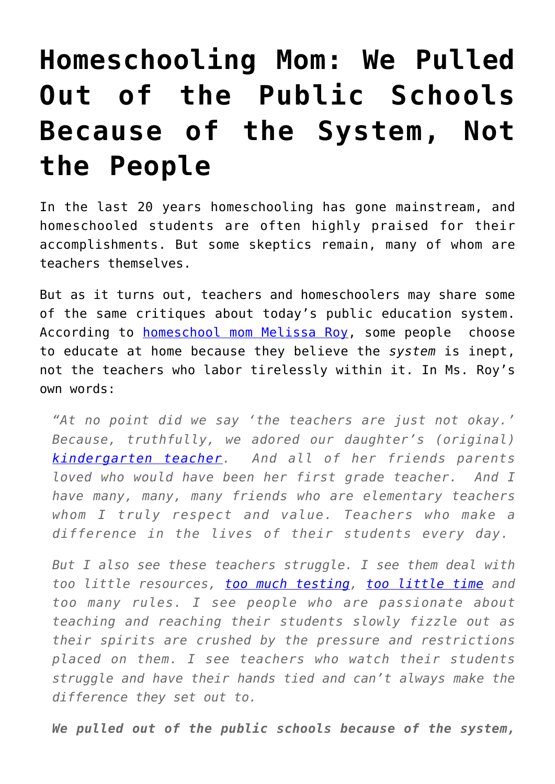## **[Homeschooling Mom: We Pulled](https://intellectualtakeout.org/2015/09/homeschooling-mom-we-pulled-out-of-the-public-schools-because-of-the-system-not-the-people/) [Out of the Public Schools](https://intellectualtakeout.org/2015/09/homeschooling-mom-we-pulled-out-of-the-public-schools-because-of-the-system-not-the-people/) [Because of the System, Not](https://intellectualtakeout.org/2015/09/homeschooling-mom-we-pulled-out-of-the-public-schools-because-of-the-system-not-the-people/) [the People](https://intellectualtakeout.org/2015/09/homeschooling-mom-we-pulled-out-of-the-public-schools-because-of-the-system-not-the-people/)**

In the last 20 years homeschooling has gone mainstream, and homeschooled students are often highly praised for their accomplishments. But some skeptics remain, many of whom are teachers themselves.

But as it turns out, teachers and homeschoolers may share some of the same critiques about today's public education system. According to **homeschool mom Melissa Roy**, some people choose to educate at home because they believe the *system* is inept, not the teachers who labor tirelessly within it. In Ms. Roy's own words:

*"At no point did we say 'the teachers are just not okay.' Because, truthfully, we adored our daughter's (original) [kindergarten teacher.](http://www.beyondmommying.com/blog/2013/08/30/back-to-school/) And all of her friends parents loved who would have been her first grade teacher. And I have many, many, many friends who are elementary teachers whom I truly respect and value. Teachers who make a difference in the lives of their students every day.*

*But I also see these teachers struggle. I see them deal with too little resources, [too much testing,](http://www.beyondmommying.com/blog/2015/03/05/homeschoolers-test/) [too little time](http://www.beyondmommying.com/blog/2015/08/21/whats-in-a-school-day/) and too many rules. I see people who are passionate about teaching and reaching their students slowly fizzle out as their spirits are crushed by the pressure and restrictions placed on them. I see teachers who watch their students struggle and have their hands tied and can't always make the difference they set out to.*

*We pulled out of the public schools because of the system,*